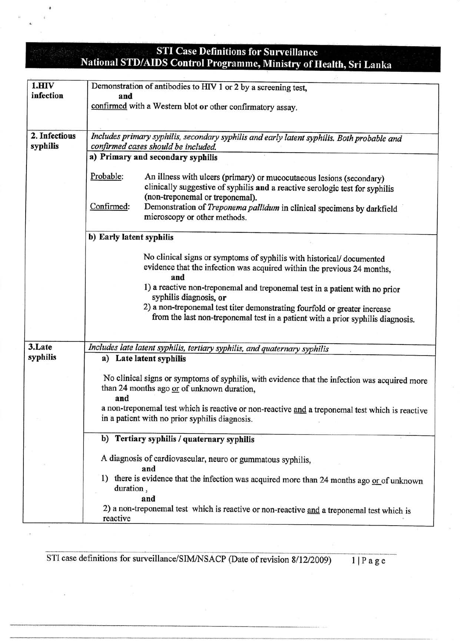## **STI Case Definitions for Surveillance** National STD/AIDS Control Programme, Ministry of Health, Sri Lanka

| $1.$ HIV      | Demonstration of antibodies to HIV 1 or 2 by a screening test,                                  |  |  |
|---------------|-------------------------------------------------------------------------------------------------|--|--|
| infection     | and                                                                                             |  |  |
|               | confirmed with a Western blot or other confirmatory assay.                                      |  |  |
|               |                                                                                                 |  |  |
|               |                                                                                                 |  |  |
| 2. Infectious | Includes primary syphilis, secondary syphilis and early latent syphilis. Both probable and      |  |  |
| syphilis      | confirmed cases should be included.                                                             |  |  |
|               | a) Primary and secondary syphilis                                                               |  |  |
|               |                                                                                                 |  |  |
|               | Probable:<br>An illness with ulcers (primary) or mucocutaeous lesions (secondary)               |  |  |
|               | clinically suggestive of syphilis and a reactive serologic test for syphilis                    |  |  |
|               | (non-treponemal or treponemal).                                                                 |  |  |
|               | Confirmed:<br>Demonstration of Treponema pallidum in clinical specimens by darkfield            |  |  |
|               | microscopy or other methods.                                                                    |  |  |
|               |                                                                                                 |  |  |
|               | b) Early latent syphilis                                                                        |  |  |
|               |                                                                                                 |  |  |
|               |                                                                                                 |  |  |
|               | No clinical signs or symptoms of syphilis with historical/documented                            |  |  |
|               | evidence that the infection was acquired within the previous 24 months,                         |  |  |
|               | and                                                                                             |  |  |
|               | 1) a reactive non-treponemal and treponemal test in a patient with no prior                     |  |  |
|               | syphilis diagnosis, or                                                                          |  |  |
|               | 2) a non-treponemal test titer demonstrating fourfold or greater increase                       |  |  |
|               | from the last non-treponemal test in a patient with a prior syphilis diagnosis.                 |  |  |
|               |                                                                                                 |  |  |
|               |                                                                                                 |  |  |
| 3.Late        | Includes late latent syphilis, tertiary syphilis, and quaternary syphilis                       |  |  |
| syphilis      | a) Late latent syphilis                                                                         |  |  |
|               |                                                                                                 |  |  |
|               | No clinical signs or symptoms of syphilis, with evidence that the infection was acquired more   |  |  |
|               | than 24 months ago or of unknown duration,                                                      |  |  |
|               | and                                                                                             |  |  |
|               | a non-treponemal test which is reactive or non-reactive and a treponemal test which is reactive |  |  |
|               | in a patient with no prior syphilis diagnosis.                                                  |  |  |
|               |                                                                                                 |  |  |
|               | b) Tertiary syphilis / quaternary syphilis                                                      |  |  |
|               |                                                                                                 |  |  |
|               | A diagnosis of cardiovascular, neuro or gummatous syphilis,                                     |  |  |
|               | and                                                                                             |  |  |
|               | 1) there is evidence that the infection was acquired more than 24 months ago or of unknown      |  |  |
|               | duration,                                                                                       |  |  |
|               | and                                                                                             |  |  |
|               | 2) a non-treponemal test which is reactive or non-reactive and a treponemal test which is       |  |  |
|               | reactive                                                                                        |  |  |
|               |                                                                                                 |  |  |

STI case definitions for surveillance/SIM/NSACP (Date of revision  $8/12/2009$ ) 1 | P a g e

-\*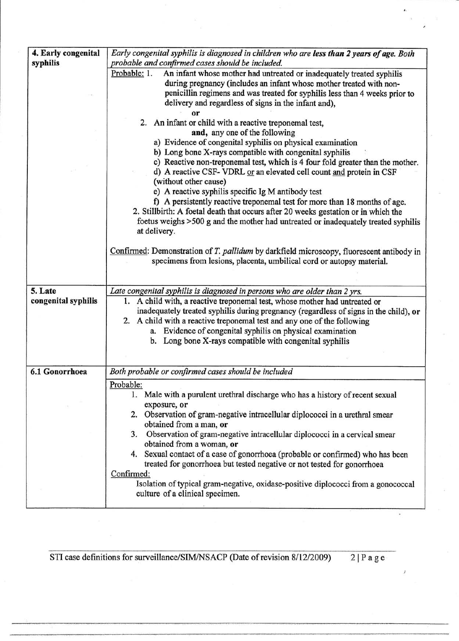| 4. Early congenital | Early congenital syphilis is diagnosed in children who are less than 2 years of age. Both                            |  |  |  |  |
|---------------------|----------------------------------------------------------------------------------------------------------------------|--|--|--|--|
| syphilis            | probable and confirmed cases should be included.                                                                     |  |  |  |  |
|                     | Probable: 1.<br>An infant whose mother had untreated or inadequately treated syphilis                                |  |  |  |  |
|                     | during pregnancy (includes an infant whose mother treated with non-                                                  |  |  |  |  |
|                     | penicillin regimens and was treated for syphilis less than 4 weeks prior to                                          |  |  |  |  |
|                     | delivery and regardless of signs in the infant and),                                                                 |  |  |  |  |
|                     | or                                                                                                                   |  |  |  |  |
|                     | 2. An infant or child with a reactive treponemal test,<br>and, any one of the following                              |  |  |  |  |
|                     | a) Evidence of congenital syphilis on physical examination                                                           |  |  |  |  |
|                     | b) Long bone X-rays compatible with congenital syphilis                                                              |  |  |  |  |
|                     | c) Reactive non-treponemal test, which is 4 four fold greater than the mother.                                       |  |  |  |  |
|                     | d) A reactive CSF- VDRL or an elevated cell count and protein in CSF                                                 |  |  |  |  |
|                     | (without other cause)                                                                                                |  |  |  |  |
|                     | e) A reactive syphilis specific Ig M antibody test                                                                   |  |  |  |  |
|                     | f) A persistently reactive treponemal test for more than 18 months of age.                                           |  |  |  |  |
|                     | 2. Stillbirth: A foetal death that occurs after 20 weeks gestation or in which the                                   |  |  |  |  |
|                     | foetus weighs >500 g and the mother had untreated or inadequately treated syphilis                                   |  |  |  |  |
|                     | at delivery.                                                                                                         |  |  |  |  |
|                     |                                                                                                                      |  |  |  |  |
|                     | Confirmed: Demonstration of T. pallidum by darkfield microscopy, fluorescent antibody in                             |  |  |  |  |
|                     | specimens from lesions, placenta, umbilical cord or autopsy material.                                                |  |  |  |  |
|                     |                                                                                                                      |  |  |  |  |
| 5. Late             | Late congenital syphilis is diagnosed in persons who are older than 2 yrs.                                           |  |  |  |  |
| congenital syphilis | 1. A child with, a reactive treponemal test, whose mother had untreated or                                           |  |  |  |  |
|                     | inadequately treated syphilis during pregnancy (regardless of signs in the child), or                                |  |  |  |  |
|                     | 2. A child with a reactive treponemal test and any one of the following                                              |  |  |  |  |
|                     | a. Evidence of congenital syphilis on physical examination                                                           |  |  |  |  |
|                     | b. Long bone X-rays compatible with congenital syphilis                                                              |  |  |  |  |
|                     |                                                                                                                      |  |  |  |  |
|                     |                                                                                                                      |  |  |  |  |
| 6.1 Gonorrhoea      | Both probable or confirmed cases should be included                                                                  |  |  |  |  |
|                     | Probable:                                                                                                            |  |  |  |  |
|                     | 1. Male with a purulent urethral discharge who has a history of recent sexual                                        |  |  |  |  |
|                     | exposure, or                                                                                                         |  |  |  |  |
|                     | 2. Observation of gram-negative intracellular diplococci in a urethral smear                                         |  |  |  |  |
|                     | obtained from a man, or                                                                                              |  |  |  |  |
|                     | 3. Observation of gram-negative intracellular diplococci in a cervical smear<br>obtained from a woman, or            |  |  |  |  |
|                     | 4. Sexual contact of a case of gonorrhoea (probable or confirmed) who has been                                       |  |  |  |  |
|                     | treated for gonorrhoea but tested negative or not tested for gonorrhoea                                              |  |  |  |  |
|                     | Confirmed:                                                                                                           |  |  |  |  |
|                     |                                                                                                                      |  |  |  |  |
|                     |                                                                                                                      |  |  |  |  |
|                     | Isolation of typical gram-negative, oxidase-positive diplococci from a gonococcal<br>culture of a clinical specimen. |  |  |  |  |

STI case definitions for surveillance/SIM/NSACP (Date of revision  $8/12/2009$ ) 2 | P a g e

Ŷ,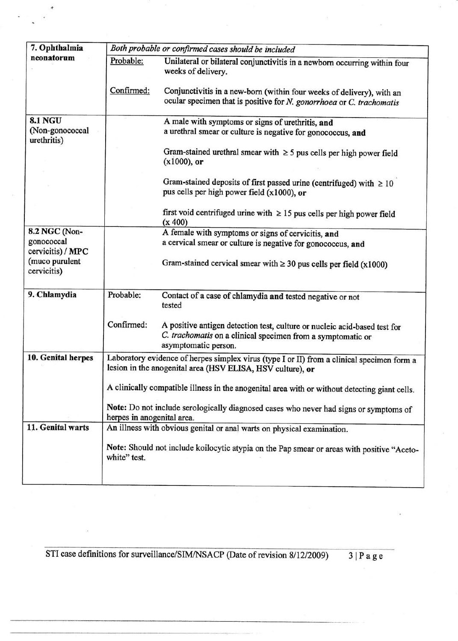| 7. Ophthalmia                                                                     | Both probable or confirmed cases should be included |                                                                                                                                                                                                               |  |  |
|-----------------------------------------------------------------------------------|-----------------------------------------------------|---------------------------------------------------------------------------------------------------------------------------------------------------------------------------------------------------------------|--|--|
| neonatorum                                                                        | Probable:                                           | Unilateral or bilateral conjunctivitis in a newborn occurring within four<br>weeks of delivery.                                                                                                               |  |  |
|                                                                                   | Confirmed:                                          | Conjunctivitis in a new-born (within four weeks of delivery), with an<br>ocular specimen that is positive for N. gonorrhoea or C. trachomatis                                                                 |  |  |
| <b>8.1 NGU</b><br>(Non-gonococcal<br>urethritis)                                  |                                                     | A male with symptoms or signs of urethritis, and<br>a urethral smear or culture is negative for gonococcus, and<br>Gram-stained urethral smear with $\geq$ 5 pus cells per high power field<br>$(x1000)$ , or |  |  |
|                                                                                   |                                                     | Gram-stained deposits of first passed urine (centrifuged) with $\geq 10$<br>pus cells per high power field (x1000), or                                                                                        |  |  |
|                                                                                   |                                                     | first void centrifuged urine with $\geq 15$ pus cells per high power field<br>(x 400)                                                                                                                         |  |  |
| 8.2 NGC (Non-<br>gonococcal<br>cervicitis) / MPC<br>(muco purulent<br>cervicitis) |                                                     | A female with symptoms or signs of cervicitis, and<br>a cervical smear or culture is negative for gonococcus, and<br>Gram-stained cervical smear with $\geq 30$ pus cells per field (x1000)                   |  |  |
| 9. Chlamydia                                                                      | Probable:                                           | Contact of a case of chlamydia and tested negative or not<br>tested                                                                                                                                           |  |  |
|                                                                                   | Confirmed:                                          | A positive antigen detection test, culture or nucleic acid-based test for<br>C. trachomatis on a clinical specimen from a symptomatic or<br>asymptomatic person.                                              |  |  |
| 10. Genital herpes                                                                |                                                     | Laboratory evidence of herpes simplex virus (type I or II) from a clinical specimen form a<br>lesion in the anogenital area (HSV ELISA, HSV culture), or                                                      |  |  |
|                                                                                   |                                                     | A clinically compatible illness in the anogenital area with or without detecting giant cells.                                                                                                                 |  |  |
|                                                                                   | herpes in anogenital area.                          | Note: Do not include serologically diagnosed cases who never had signs or symptoms of                                                                                                                         |  |  |
| 11. Genital warts                                                                 |                                                     | An illness with obvious genital or anal warts on physical examination.                                                                                                                                        |  |  |
|                                                                                   | white" test.                                        | Note: Should not include koilocytic atypia on the Pap smear or areas with positive "Aceto-                                                                                                                    |  |  |
|                                                                                   |                                                     |                                                                                                                                                                                                               |  |  |

STI case definitions for surveillance/SIM/NSACP (Date of revision 8/12/2009)

"  $\frac{1}{g}$ e